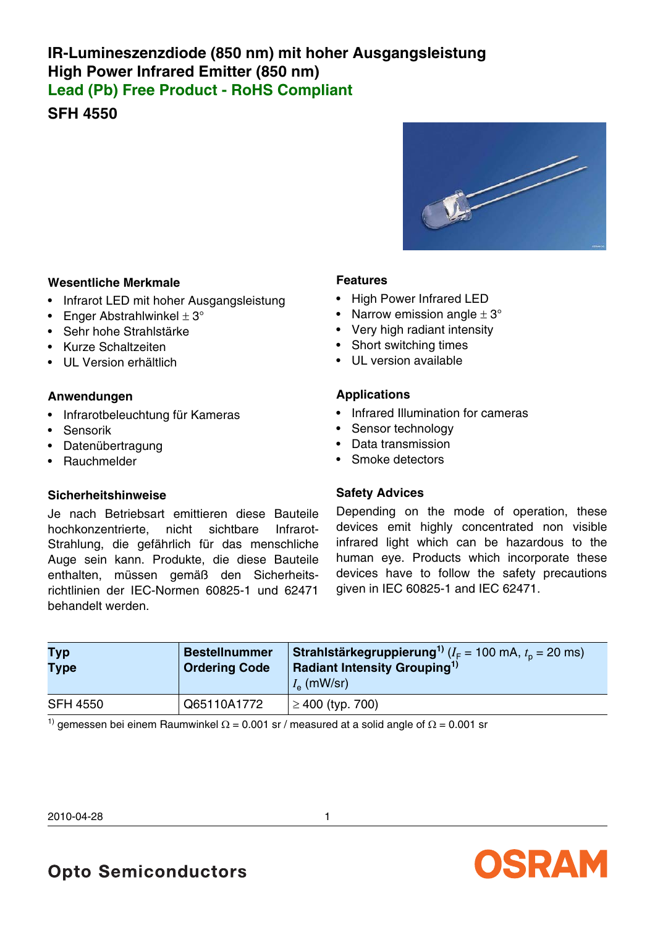## **IR-Lumineszenzdiode (850 nm) mit hoher Ausgangsleistung High Power Infrared Emitter (850 nm) Lead (Pb) Free Product - RoHS Compliant**

**SFH 4550**



#### **Wesentliche Merkmale**

- Infrarot LED mit hoher Ausgangsleistung
- Enger Abstrahlwinkel  $\pm 3^{\circ}$
- Sehr hohe Strahlstärke
- Kurze Schaltzeiten
- UL Version erhältlich

#### **Anwendungen**

- Infrarotbeleuchtung für Kameras
- Sensorik
- Datenübertragung
- Rauchmelder

#### **Sicherheitshinweise**

Je nach Betriebsart emittieren diese Bauteile hochkonzentrierte, nicht sichtbare Infrarot-Strahlung, die gefährlich für das menschliche Auge sein kann. Produkte, die diese Bauteile enthalten, müssen gemäß den Sicherheitsrichtlinien der IEC-Normen 60825-1 und 62471 behandelt werden.

#### **Features**

- High Power Infrared LED
- Narrow emission angle  $\pm 3^{\circ}$
- Very high radiant intensity
- Short switching times
- UL version available

#### **Applications**

- Infrared Illumination for cameras
- Sensor technology
- Data transmission
- Smoke detectors

#### **Safety Advices**

Depending on the mode of operation, these devices emit highly concentrated non visible infrared light which can be hazardous to the human eye. Products which incorporate these devices have to follow the safety precautions given in IEC 60825-1 and IEC 62471.

| <b>Typ</b><br><b>Type</b> | Bestellnummer<br><b>Ordering Code</b> | <b>Strahlstärkegruppierung</b> <sup>1)</sup> ( $I_F$ = 100 mA, $t_0$ = 20 ms)<br>Radiant Intensity Grouping <sup>1)</sup><br>$I_{\rm e}$ (mW/sr) |
|---------------------------|---------------------------------------|--------------------------------------------------------------------------------------------------------------------------------------------------|
| <b>SFH 4550</b>           | Q65110A1772                           | $\geq$ 400 (typ. 700)                                                                                                                            |
| $\rightarrow$             |                                       |                                                                                                                                                  |

<sup>1)</sup> gemessen bei einem Raumwinkel Ω = 0.001 sr / measured at a solid angle of Ω = 0.001 sr

2010-04-28 1



**Opto Semiconductors**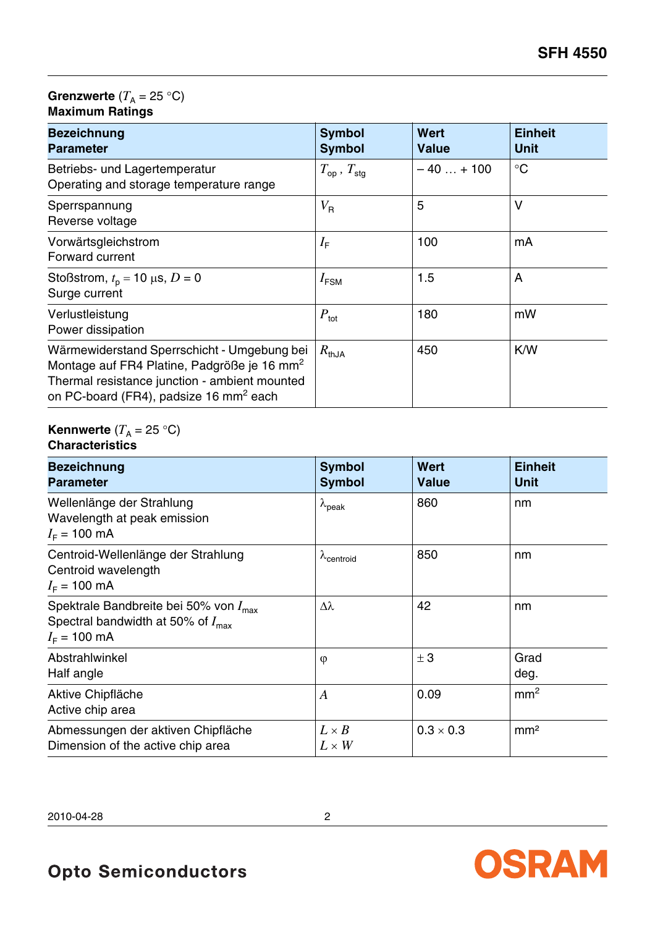### **Grenzwerte**  $(T_A = 25 \text{ }^{\circ}\text{C})$ **Maximum Ratings**

| <b>Bezeichnung</b><br><b>Parameter</b>                                                                                                                                                                        | <b>Symbol</b><br><b>Symbol</b> | <b>Wert</b><br><b>Value</b> | <b>Einheit</b><br><b>Unit</b> |
|---------------------------------------------------------------------------------------------------------------------------------------------------------------------------------------------------------------|--------------------------------|-----------------------------|-------------------------------|
| Betriebs- und Lagertemperatur<br>Operating and storage temperature range                                                                                                                                      | $T_{\rm op}$ , $T_{\rm sta}$   | $-40+100$                   | $\rm ^{\circ}C$               |
| Sperrspannung<br>Reverse voltage                                                                                                                                                                              | $V_{\sf R}$                    | 5                           | $\vee$                        |
| Vorwärtsgleichstrom<br>Forward current                                                                                                                                                                        | $I_{\text{F}}$                 | 100                         | mA                            |
| Stoßstrom, $t_p = 10 \mu s$ , $D = 0$<br>Surge current                                                                                                                                                        | $I_{\text{FSM}}$               | 1.5                         | A                             |
| Verlustleistung<br>Power dissipation                                                                                                                                                                          | $P_{\text{tot}}$               | 180                         | mW                            |
| Wärmewiderstand Sperrschicht - Umgebung bei<br>Montage auf FR4 Platine, Padgröße je 16 mm <sup>2</sup><br>Thermal resistance junction - ambient mounted<br>on PC-board (FR4), padsize 16 mm <sup>2</sup> each | $R_{thJA}$                     | 450                         | K/W                           |

#### **Kennwerte**  $(T_A = 25 \text{ }^{\circ}\text{C})$ **Characteristics**

| <b>Bezeichnung</b><br><b>Parameter</b>                                                                                       | <b>Symbol</b><br><b>Symbol</b> | <b>Wert</b><br><b>Value</b> | <b>Einheit</b><br><b>Unit</b> |
|------------------------------------------------------------------------------------------------------------------------------|--------------------------------|-----------------------------|-------------------------------|
| Wellenlänge der Strahlung<br>Wavelength at peak emission<br>$I_F = 100 \text{ mA}$                                           | $\lambda_{peak}$               | 860                         | nm                            |
| Centroid-Wellenlänge der Strahlung<br>Centroid wavelength<br>$I_F = 100 \text{ mA}$                                          | $\lambda$ centroid             | 850                         | nm                            |
| Spektrale Bandbreite bei 50% von $I_{\text{max}}$<br>Spectral bandwidth at 50% of $I_{\text{max}}$<br>$I_F = 100 \text{ mA}$ | Δλ                             | 42                          | nm                            |
| Abstrahlwinkel<br>Half angle                                                                                                 | $\varphi$                      | ± 3                         | Grad<br>deg.                  |
| Aktive Chipfläche<br>Active chip area                                                                                        | $\boldsymbol{A}$               | 0.09                        | mm <sup>2</sup>               |
| Abmessungen der aktiven Chipfläche<br>Dimension of the active chip area                                                      | $L \times B$<br>$L \times W$   | $0.3 \times 0.3$            | mm <sup>2</sup>               |

2010-04-28 2

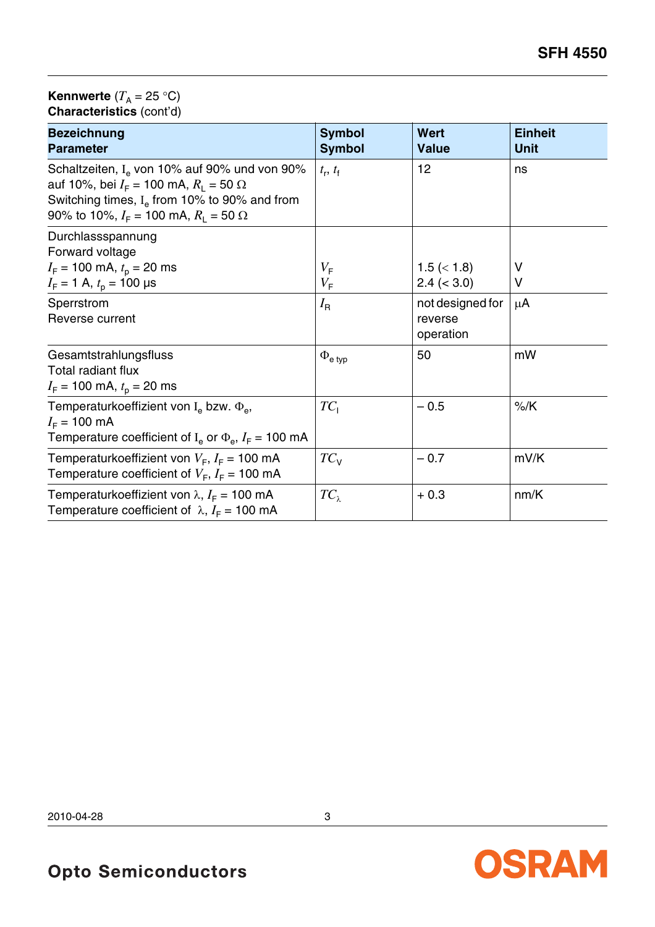#### **Kennwerte**  $(T_A = 25 \text{ }^{\circ}\text{C})$ **Characteristics** (cont'd)

| <b>Bezeichnung</b><br><b>Parameter</b>                                                                                                                                                          | <b>Symbol</b><br><b>Symbol</b> | <b>Wert</b><br><b>Value</b>              | <b>Einheit</b><br><b>Unit</b> |
|-------------------------------------------------------------------------------------------------------------------------------------------------------------------------------------------------|--------------------------------|------------------------------------------|-------------------------------|
| Schaltzeiten, $I_e$ von 10% auf 90% und von 90%<br>auf 10%, bei $I_F$ = 100 mA, $R_1$ = 50 Ω<br>Switching times, $Ie$ from 10% to 90% and from<br>90% to 10%, $I_F = 100$ mA, $R_1 = 50 \Omega$ | $t_{\rm r}$ , $t_{\rm f}$      | 12                                       | ns                            |
| Durchlassspannung<br>Forward voltage<br>$I_F$ = 100 mA, $t_p$ = 20 ms                                                                                                                           | $V_{\mathsf{F}}$               | $1.5 \ (< 1.8)$                          | V                             |
| $I_F = 1$ A, $t_p = 100$ µs                                                                                                                                                                     | $V_{\mathsf{F}}$               | $2.4 \leq 3.0$                           | V                             |
| Sperrstrom<br>Reverse current                                                                                                                                                                   | $I_{\mathsf{R}}$               | not designed for<br>reverse<br>operation | $\mu$ A                       |
| Gesamtstrahlungsfluss<br><b>Total radiant flux</b><br>$I_F$ = 100 mA, $t_p$ = 20 ms                                                                                                             | $\Phi_{\mathsf{e}}$ typ        | 50                                       | mW                            |
| Temperaturkoeffizient von I <sub>e</sub> bzw. $\Phi_{\rm e}$ ,<br>$I_F = 100 \text{ mA}$<br>Temperature coefficient of $I_e$ or $\Phi_e$ , $I_F$ = 100 mA                                       | $TC_1$                         | $-0.5$                                   | $%$ /K                        |
| Temperaturkoeffizient von $V_F$ , $I_F$ = 100 mA<br>Temperature coefficient of $V_F$ , $I_F$ = 100 mA                                                                                           | $TC_{V}$                       | $-0.7$                                   | mV/K                          |
| Temperaturkoeffizient von $\lambda$ , $I_F$ = 100 mA<br>Temperature coefficient of $\lambda$ , $I_F$ = 100 mA                                                                                   | $TC_{\lambda}$                 | $+0.3$                                   | nm/K                          |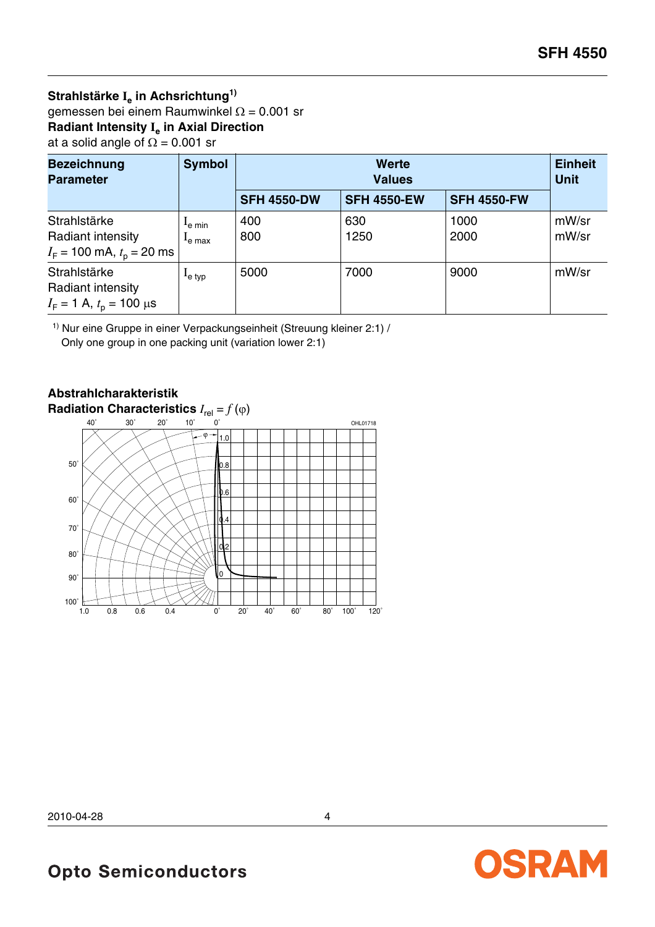## **Strahlstärke Ie in Achsrichtung1)** gemessen bei einem Raumwinkel Ω = 0.001 sr **Radiant Intensity Ie in Axial Direction**

at a solid angle of  $\Omega = 0.001$  sr

| <b>Bezeichnung</b><br><b>Parameter</b>                              | <b>Symbol</b>                           | <b>Werte</b><br><b>Values</b> |                    |                    | <b>Einheit</b><br><b>Unit</b> |
|---------------------------------------------------------------------|-----------------------------------------|-------------------------------|--------------------|--------------------|-------------------------------|
|                                                                     |                                         | <b>SFH 4550-DW</b>            | <b>SFH 4550-EW</b> | <b>SFH 4550-FW</b> |                               |
| Strahlstärke<br>Radiant intensity<br>$I_F$ = 100 mA, $t_p$ = 20 ms  | $I_{\rm e \ min}$<br><sup>L</sup> e max | 400<br>800                    | 630<br>1250        | 1000<br>2000       | mW/sr<br>mW/sr                |
| Strahlstärke<br>Radiant intensity<br>$I_F = 1$ A, $t_p = 100 \mu s$ | $I_{e}$ typ                             | 5000                          | 7000               | 9000               | mW/sr                         |

 $1)$  Nur eine Gruppe in einer Verpackungseinheit (Streuung kleiner 2:1) / Only one group in one packing unit (variation lower 2:1)

# **Abstrahlcharakteristik**



**Opto Semiconductors**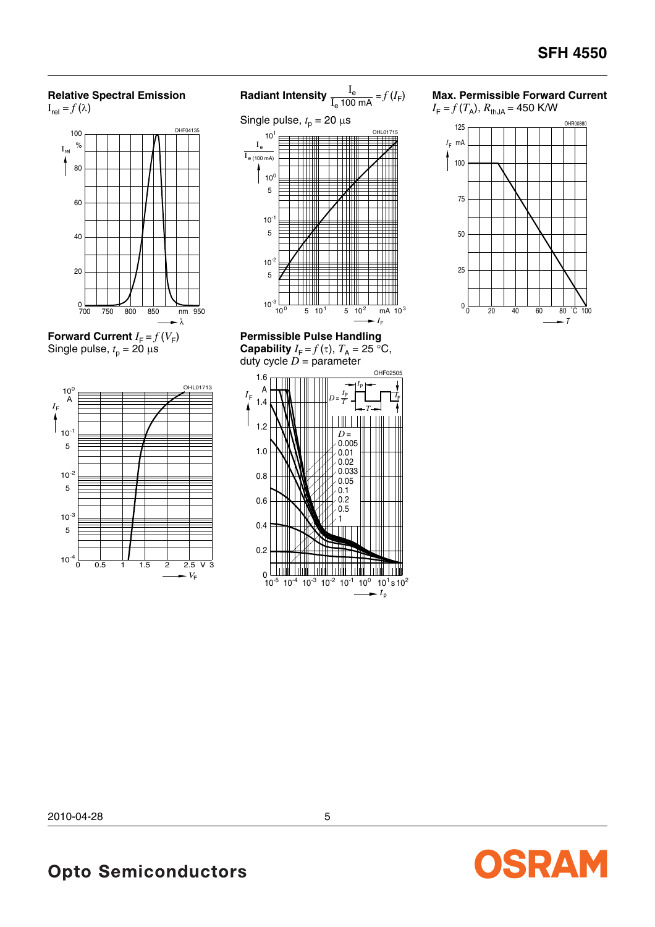## **Relative Spectral Emission**





**Forward Current**  $I_F = f(V_F)$ Single pulse,  $t_p = 20 \mu s$ 







**Permissible Pulse Handling Capability**  $I_F = f(\tau)$ ,  $T_A = 25$  °C, duty cycle  $D =$  parameter



#### **Max. Permissible Forward Current**





OSRAM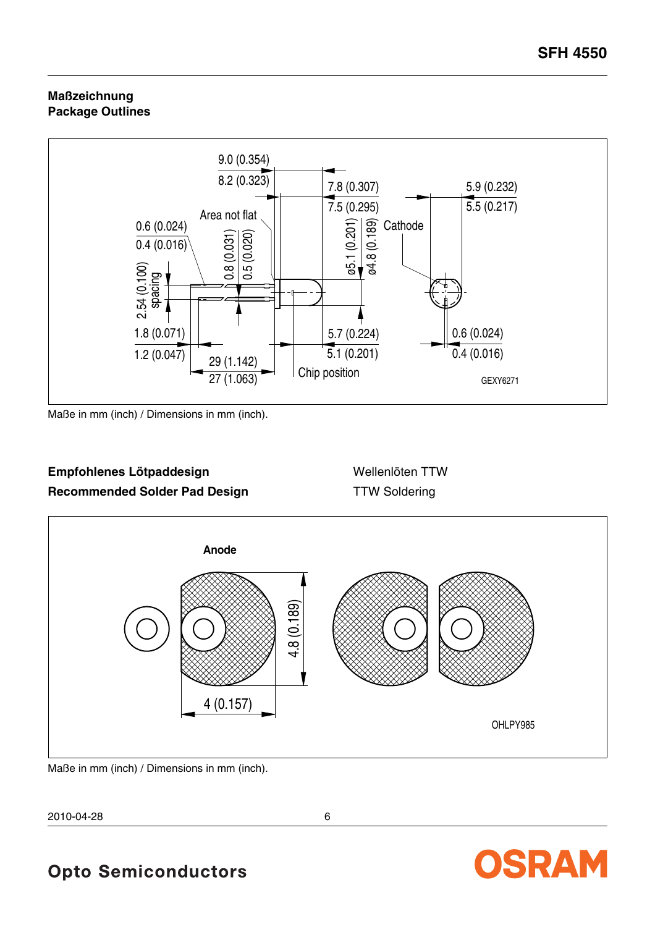#### **Maßzeichnung Package Outlines**



Maße in mm (inch) / Dimensions in mm (inch).

## Empfohlenes Lötpaddesign **aber als an Empfohlenes Lötpaddesign** Wellenlöten TTW **Recommended Solder Pad Design TTW Soldering**



Maße in mm (inch) / Dimensions in mm (inch).

2010-04-28 6